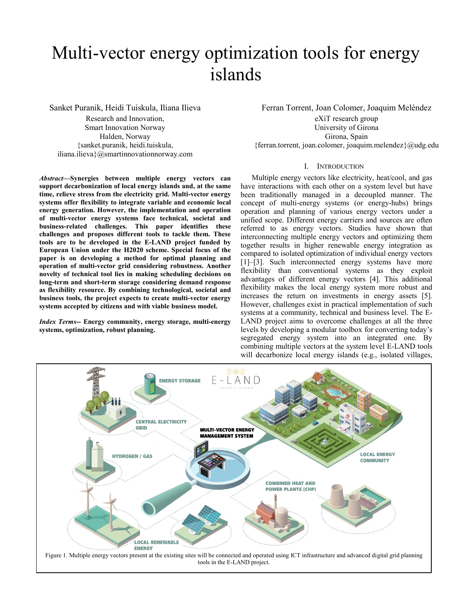# Multi-vector energy optimization tools for energy islands

Sanket Puranik, Heidi Tuiskula, Iliana Ilieva

Research and Innovation, Smart Innovation Norway Halden, Norway {sanket.puranik, heidi.tuiskula, iliana.ilieva}@smartinnovationnorway.com

*Abstract***—Synergies between multiple energy vectors can support decarbonization of local energy islands and, at the same time, relieve stress from the electricity grid. Multi-vector energy systems offer flexibility to integrate variable and economic local energy generation. However, the implementation and operation of multi-vector energy systems face technical, societal and business-related challenges. This paper identifies these challenges and proposes different tools to tackle them. These tools are to be developed in the E-LAND project funded by European Union under the H2020 scheme. Special focus of the paper is on developing a method for optimal planning and operation of multi-vector grid considering robustness. Another novelty of technical tool lies in making scheduling decisions on long-term and short-term storage considering demand response as flexibility resource. By combining technological, societal and business tools, the project expects to create multi-vector energy systems accepted by citizens and with viable business model.**

*Index Terms***-- Energy community, energy storage, multi-energy systems, optimization, robust planning.**

Ferran Torrent, Joan Colomer, Joaquim Meléndez

eXiT research group University of Girona Girona, Spain {ferran.torrent, joan.colomer, joaquim.melendez}@udg.edu

## I. INTRODUCTION

Multiple energy vectors like electricity, heat/cool, and gas have interactions with each other on a system level but have been traditionally managed in a decoupled manner. The concept of multi-energy systems (or energy-hubs) brings operation and planning of various energy vectors under a unified scope. Different energy carriers and sources are often referred to as energy vectors. Studies have shown that interconnecting multiple energy vectors and optimizing them together results in higher renewable energy integration as compared to isolated optimization of individual energy vectors [1]–[3]. Such interconnected energy systems have more flexibility than conventional systems as they exploit advantages of different energy vectors [4]. This additional flexibility makes the local energy system more robust and increases the return on investments in energy assets [5]. However, challenges exist in practical implementation of such systems at a community, technical and business level. The E-LAND project aims to overcome challenges at all the three levels by developing a modular toolbox for converting today's segregated energy system into an integrated one. By combining multiple vectors at the system level E-LAND tools will decarbonize local energy islands (e.g., isolated villages,

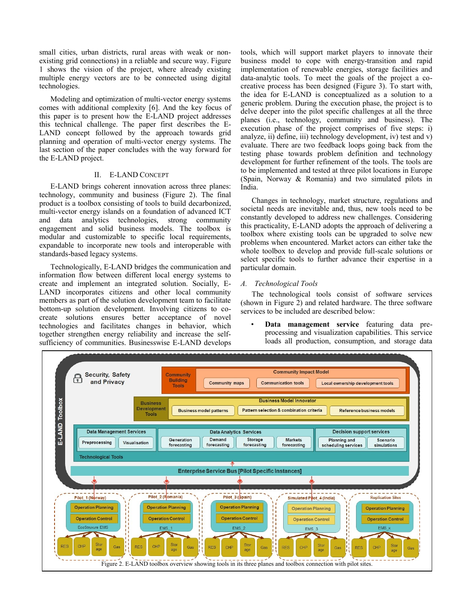small cities, urban districts, rural areas with weak or nonexisting grid connections) in a reliable and secure way. Figure 1 shows the vision of the project, where already existing multiple energy vectors are to be connected using digital technologies.

Modeling and optimization of multi-vector energy systems comes with additional complexity [6]. And the key focus of this paper is to present how the E-LAND project addresses this technical challenge. The paper first describes the E-LAND concept followed by the approach towards grid planning and operation of multi-vector energy systems. The last section of the paper concludes with the way forward for the E-LAND project.

## II. E-LAND CONCEPT

E-LAND brings coherent innovation across three planes: technology, community and business (Figure 2). The final product is a toolbox consisting of tools to build decarbonized, multi-vector energy islands on a foundation of advanced ICT and data analytics technologies, strong community engagement and solid business models. The toolbox is modular and customizable to specific local requirements, expandable to incorporate new tools and interoperable with standards-based legacy systems.

Technologically, E-LAND bridges the communication and information flow between different local energy systems to create and implement an integrated solution. Socially, E-LAND incorporates citizens and other local community members as part of the solution development team to facilitate bottom-up solution development. Involving citizens to cocreate solutions ensures better acceptance of novel technologies and facilitates changes in behavior, which together strengthen energy reliability and increase the selfsufficiency of communities. Businesswise E-LAND develops tools, which will support market players to innovate their business model to cope with energy-transition and rapid implementation of renewable energies, storage facilities and data-analytic tools. To meet the goals of the project a cocreative process has been designed (Figure 3). To start with, the idea for E-LAND is conceptualized as a solution to a generic problem. During the execution phase, the project is to delve deeper into the pilot specific challenges at all the three planes (i.e., technology, community and business). The execution phase of the project comprises of five steps: i) analyze, ii) define, iii) technology development, iv) test and v) evaluate. There are two feedback loops going back from the testing phase towards problem definition and technology development for further refinement of the tools. The tools are to be implemented and tested at three pilot locations in Europe (Spain, Norway & Romania) and two simulated pilots in India.

Changes in technology, market structure, regulations and societal needs are inevitable and, thus, new tools need to be constantly developed to address new challenges. Considering this practicality, E-LAND adopts the approach of delivering a toolbox where existing tools can be upgraded to solve new problems when encountered. Market actors can either take the whole toolbox to develop and provide full-scale solutions or select specific tools to further advance their expertise in a particular domain.

## *A. Technological Tools*

The technological tools consist of software services (shown in [Figure 2\)](#page-1-0) and related hardware. The three software services to be included are described below:

• **Data management service** featuring data preprocessing and visualization capabilities. This service loads all production, consumption, and storage data

<span id="page-1-0"></span>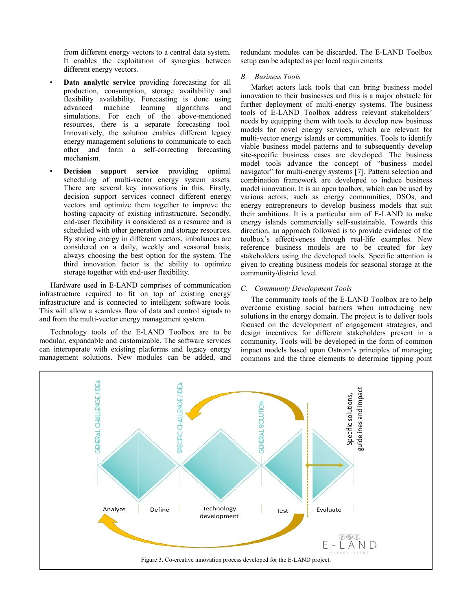from different energy vectors to a central data system. It enables the exploitation of synergies between different energy vectors.

- **Data analytic service** providing forecasting for all production, consumption, storage availability and flexibility availability. Forecasting is done using advanced machine learning algorithms and simulations. For each of the above-mentioned resources, there is a separate forecasting tool. Innovatively, the solution enables different legacy energy management solutions to communicate to each other and form a self-correcting forecasting mechanism.
- **Decision support service** providing optimal scheduling of multi-vector energy system assets. There are several key innovations in this. Firstly, decision support services connect different energy vectors and optimize them together to improve the hosting capacity of existing infrastructure. Secondly, end-user flexibility is considered as a resource and is scheduled with other generation and storage resources. By storing energy in different vectors, imbalances are considered on a daily, weekly and seasonal basis, always choosing the best option for the system. The third innovation factor is the ability to optimize storage together with end-user flexibility.

Hardware used in E-LAND comprises of communication infrastructure required to fit on top of existing energy infrastructure and is connected to intelligent software tools. This will allow a seamless flow of data and control signals to and from the multi-vector energy management system.

Technology tools of the E-LAND Toolbox are to be modular, expandable and customizable. The software services can interoperate with existing platforms and legacy energy management solutions. New modules can be added, and redundant modules can be discarded. The E-LAND Toolbox setup can be adapted as per local requirements.

# *B. Business Tools*

Market actors lack tools that can bring business model innovation to their businesses and this is a major obstacle for further deployment of multi-energy systems. The business tools of E-LAND Toolbox address relevant stakeholders' needs by equipping them with tools to develop new business models for novel energy services, which are relevant for multi-vector energy islands or communities. Tools to identify viable business model patterns and to subsequently develop site-specific business cases are developed. The business model tools advance the concept of "business model navigator" for multi-energy systems [7]. Pattern selection and combination framework are developed to induce business model innovation. It is an open toolbox, which can be used by various actors, such as energy communities, DSOs, and energy entrepreneurs to develop business models that suit their ambitions. It is a particular aim of E-LAND to make energy islands commercially self-sustainable. Towards this direction, an approach followed is to provide evidence of the toolbox's effectiveness through real-life examples. New reference business models are to be created for key stakeholders using the developed tools. Specific attention is given to creating business models for seasonal storage at the community/district level.

# *C. Community Development Tools*

The community tools of the E-LAND Toolbox are to help overcome existing social barriers when introducing new solutions in the energy domain. The project is to deliver tools focused on the development of engagement strategies, and design incentives for different stakeholders present in a community. Tools will be developed in the form of common impact models based upon Ostrom's principles of managing commons and the three elements to determine tipping point

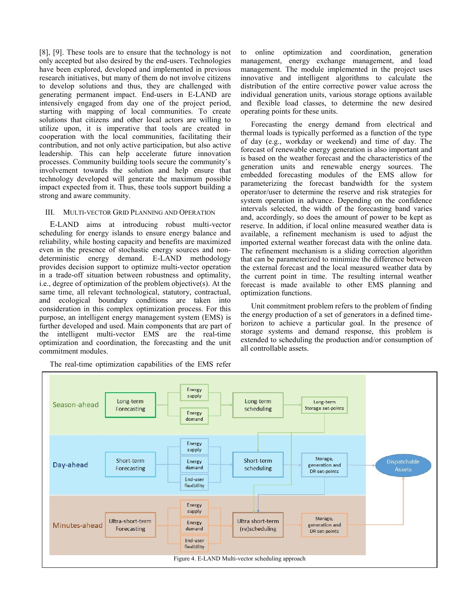[8], [9]. These tools are to ensure that the technology is not only accepted but also desired by the end-users. Technologies have been explored, developed and implemented in previous research initiatives, but many of them do not involve citizens to develop solutions and thus, they are challenged with generating permanent impact. End-users in E-LAND are intensively engaged from day one of the project period, starting with mapping of local communities. To create solutions that citizens and other local actors are willing to utilize upon, it is imperative that tools are created in cooperation with the local communities, facilitating their contribution, and not only active participation, but also active leadership. This can help accelerate future innovation processes. Community building tools secure the community's involvement towards the solution and help ensure that technology developed will generate the maximum possible impact expected from it. Thus, these tools support building a strong and aware community.

# III. MULTI-VECTOR GRID PLANNING AND OPERATION

E-LAND aims at introducing robust multi-vector scheduling for energy islands to ensure energy balance and reliability, while hosting capacity and benefits are maximized even in the presence of stochastic energy sources and nondeterministic energy demand. E-LAND methodology provides decision support to optimize multi-vector operation in a trade-off situation between robustness and optimality, i.e., degree of optimization of the problem objective(s). At the same time, all relevant technological, statutory, contractual, and ecological boundary conditions are taken into consideration in this complex optimization process. For this purpose, an intelligent energy management system (EMS) is further developed and used. Main components that are part of the intelligent multi-vector EMS are the real-time optimization and coordination, the forecasting and the unit commitment modules.

The real-time optimization capabilities of the EMS refer

to online optimization and coordination, generation management, energy exchange management, and load management. The module implemented in the project uses innovative and intelligent algorithms to calculate the distribution of the entire corrective power value across the individual generation units, various storage options available and flexible load classes, to determine the new desired operating points for these units.

Forecasting the energy demand from electrical and thermal loads is typically performed as a function of the type of day (e.g., workday or weekend) and time of day. The forecast of renewable energy generation is also important and is based on the weather forecast and the characteristics of the generation units and renewable energy sources. The embedded forecasting modules of the EMS allow for parameterizing the forecast bandwidth for the system operator/user to determine the reserve and risk strategies for system operation in advance. Depending on the confidence intervals selected, the width of the forecasting band varies and, accordingly, so does the amount of power to be kept as reserve. In addition, if local online measured weather data is available, a refinement mechanism is used to adjust the imported external weather forecast data with the online data. The refinement mechanism is a sliding correction algorithm that can be parameterized to minimize the difference between the external forecast and the local measured weather data by the current point in time. The resulting internal weather forecast is made available to other EMS planning and optimization functions.

Unit commitment problem refers to the problem of finding the energy production of a set of generators in a defined timehorizon to achieve a particular goal. In the presence of storage systems and demand response, this problem is extended to scheduling the production and/or consumption of all controllable assets.

<span id="page-3-0"></span>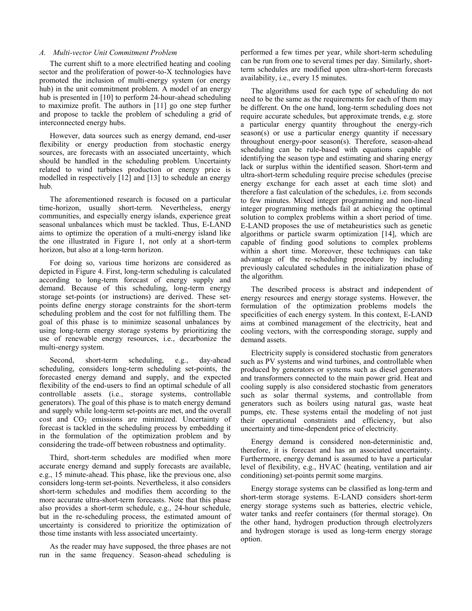#### *A. Multi-vector Unit Commitment Problem*

The current shift to a more electrified heating and cooling sector and the proliferation of power-to-X technologies have promoted the inclusion of multi-energy system (or energy hub) in the unit commitment problem. A model of an energy hub is presented in [10] to perform 24-hour-ahead scheduling to maximize profit. The authors in [11] go one step further and propose to tackle the problem of scheduling a grid of interconnected energy hubs.

However, data sources such as energy demand, end-user flexibility or energy production from stochastic energy sources, are forecasts with an associated uncertainty, which should be handled in the scheduling problem. Uncertainty related to wind turbines production or energy price is modelled in respectively [12] and [13] to schedule an energy hub.

The aforementioned research is focused on a particular time-horizon, usually short-term. Nevertheless, energy communities, and especially energy islands, experience great seasonal unbalances which must be tackled. Thus, E-LAND aims to optimize the operation of a multi-energy island like the one illustrated in Figure 1, not only at a short-term horizon, but also at a long-term horizon.

For doing so, various time horizons are considered as depicted in [Figure 4.](#page-3-0) First, long-term scheduling is calculated according to long-term forecast of energy supply and demand. Because of this scheduling, long-term energy storage set-points (or instructions) are derived. These setpoints define energy storage constraints for the short-term scheduling problem and the cost for not fulfilling them. The goal of this phase is to minimize seasonal unbalances by using long-term energy storage systems by prioritizing the use of renewable energy resources, i.e., decarbonize the multi-energy system.

Second, short-term scheduling, e.g., day-ahead scheduling, considers long-term scheduling set-points, the forecasted energy demand and supply, and the expected flexibility of the end-users to find an optimal schedule of all controllable assets (i.e., storage systems, controllable generators). The goal of this phase is to match energy demand and supply while long-term set-points are met, and the overall  $\cot$  and  $CO<sub>2</sub>$  emissions are minimized. Uncertainty of forecast is tackled in the scheduling process by embedding it in the formulation of the optimization problem and by considering the trade-off between robustness and optimality.

Third, short-term schedules are modified when more accurate energy demand and supply forecasts are available, e.g., 15 minute-ahead. This phase, like the previous one, also considers long-term set-points. Nevertheless, it also considers short-term schedules and modifies them according to the more accurate ultra-short-term forecasts. Note that this phase also provides a short-term schedule, e.g., 24-hour schedule, but in the re-scheduling process, the estimated amount of uncertainty is considered to prioritize the optimization of those time instants with less associated uncertainty.

As the reader may have supposed, the three phases are not run in the same frequency. Season-ahead scheduling is performed a few times per year, while short-term scheduling can be run from one to several times per day. Similarly, shortterm schedules are modified upon ultra-short-term forecasts availability, i.e., every 15 minutes.

The algorithms used for each type of scheduling do not need to be the same as the requirements for each of them may be different. On the one hand, long-term scheduling does not require accurate schedules, but approximate trends, e.g. store a particular energy quantity throughout the energy-rich season(s) or use a particular energy quantity if necessary throughout energy-poor season(s). Therefore, season-ahead scheduling can be rule-based with equations capable of identifying the season type and estimating and sharing energy lack or surplus within the identified season. Short-term and ultra-short-term scheduling require precise schedules (precise energy exchange for each asset at each time slot) and therefore a fast calculation of the schedules, i.e. from seconds to few minutes. Mixed integer programming and non-lineal integer programming methods fail at achieving the optimal solution to complex problems within a short period of time. E-LAND proposes the use of metaheuristics such as genetic algorithms or particle swarm optimization [14], which are capable of finding good solutions to complex problems within a short time. Moreover, these techniques can take advantage of the re-scheduling procedure by including previously calculated schedules in the initialization phase of the algorithm.

The described process is abstract and independent of energy resources and energy storage systems. However, the formulation of the optimization problems models the specificities of each energy system. In this context, E-LAND aims at combined management of the electricity, heat and cooling vectors, with the corresponding storage, supply and demand assets.

Electricity supply is considered stochastic from generators such as PV systems and wind turbines, and controllable when produced by generators or systems such as diesel generators and transformers connected to the main power grid. Heat and cooling supply is also considered stochastic from generators such as solar thermal systems, and controllable from generators such as boilers using natural gas, waste heat pumps, etc. These systems entail the modeling of not just their operational constraints and efficiency, but also uncertainty and time-dependent price of electricity.

Energy demand is considered non-deterministic and, therefore, it is forecast and has an associated uncertainty. Furthermore, energy demand is assumed to have a particular level of flexibility, e.g., HVAC (heating, ventilation and air conditioning) set-points permit some margins.

Energy storage systems can be classified as long-term and short-term storage systems. E-LAND considers short-term energy storage systems such as batteries, electric vehicle, water tanks and reefer containers (for thermal storage). On the other hand, hydrogen production through electrolyzers and hydrogen storage is used as long-term energy storage option.